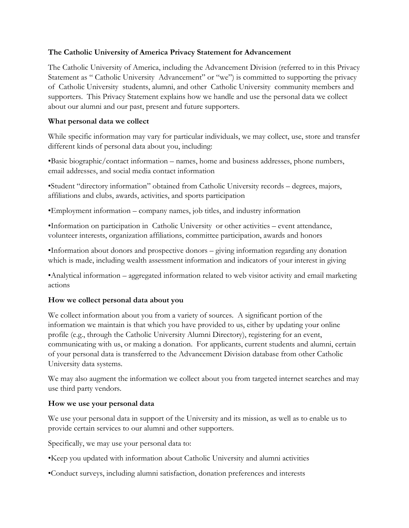#### **The Catholic University of America Privacy Statement for Advancement**

The Catholic University of America, including the Advancement Division (referred to in this Privacy Statement as " Catholic University Advancement" or "we") is committed to supporting the privacy of Catholic University students, alumni, and other Catholic University community members and supporters. This Privacy Statement explains how we handle and use the personal data we collect about our alumni and our past, present and future supporters.

### **What personal data we collect**

While specific information may vary for particular individuals, we may collect, use, store and transfer different kinds of personal data about you, including:

•Basic biographic/contact information – names, home and business addresses, phone numbers, email addresses, and social media contact information

•Student "directory information" obtained from Catholic University records – degrees, majors, affiliations and clubs, awards, activities, and sports participation

•Employment information – company names, job titles, and industry information

•Information on participation in Catholic University or other activities – event attendance, volunteer interests, organization affiliations, committee participation, awards and honors

•Information about donors and prospective donors – giving information regarding any donation which is made, including wealth assessment information and indicators of your interest in giving

•Analytical information – aggregated information related to web visitor activity and email marketing actions

#### **How we collect personal data about you**

We collect information about you from a variety of sources. A significant portion of the information we maintain is that which you have provided to us, either by updating your online profile (e.g., through the Catholic University Alumni Directory), registering for an event, communicating with us, or making a donation. For applicants, current students and alumni, certain of your personal data is transferred to the Advancement Division database from other Catholic University data systems.

We may also augment the information we collect about you from targeted internet searches and may use third party vendors.

#### **How we use your personal data**

We use your personal data in support of the University and its mission, as well as to enable us to provide certain services to our alumni and other supporters.

Specifically, we may use your personal data to:

- •Keep you updated with information about Catholic University and alumni activities
- •Conduct surveys, including alumni satisfaction, donation preferences and interests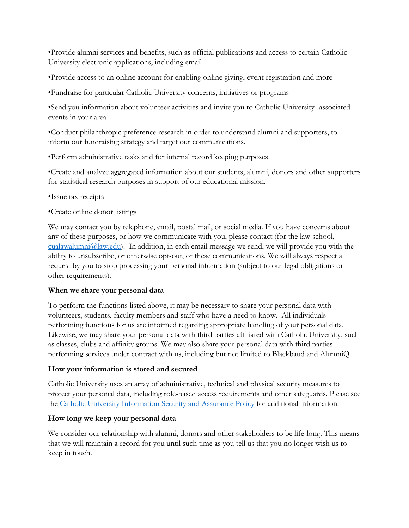•Provide alumni services and benefits, such as official publications and access to certain Catholic University electronic applications, including email

•Provide access to an online account for enabling online giving, event registration and more

•Fundraise for particular Catholic University concerns, initiatives or programs

•Send you information about volunteer activities and invite you to Catholic University -associated events in your area

•Conduct philanthropic preference research in order to understand alumni and supporters, to inform our fundraising strategy and target our communications.

•Perform administrative tasks and for internal record keeping purposes.

•Create and analyze aggregated information about our students, alumni, donors and other supporters for statistical research purposes in support of our educational mission.

- •Issue tax receipts
- •Create online donor listings

We may contact you by telephone, email, postal mail, or social media. If you have concerns about any of these purposes, or how we communicate with you, please contact (for the law school,  $cualawalumni@law.edu$ ). In addition, in each email message we send, we will provide you with the ability to unsubscribe, or otherwise opt-out, of these communications. We will always respect a request by you to stop processing your personal information (subject to our legal obligations or other requirements).

# **When we share your personal data**

To perform the functions listed above, it may be necessary to share your personal data with volunteers, students, faculty members and staff who have a need to know. All individuals performing functions for us are informed regarding appropriate handling of your personal data. Likewise, we may share your personal data with third parties affiliated with Catholic University, such as classes, clubs and affinity groups. We may also share your personal data with third parties performing services under contract with us, including but not limited to Blackbaud and AlumniQ.

# **How your information is stored and secured**

Catholic University uses an array of administrative, technical and physical security measures to protect your personal data, including role-based access requirements and other safeguards. Please see the Catholic University [Information Security and](https://policies.catholic.edu/infotech/infosecurityfull.html) Assurance Policy for additional information.

# **How long we keep your personal data**

We consider our relationship with alumni, donors and other stakeholders to be life-long. This means that we will maintain a record for you until such time as you tell us that you no longer wish us to keep in touch.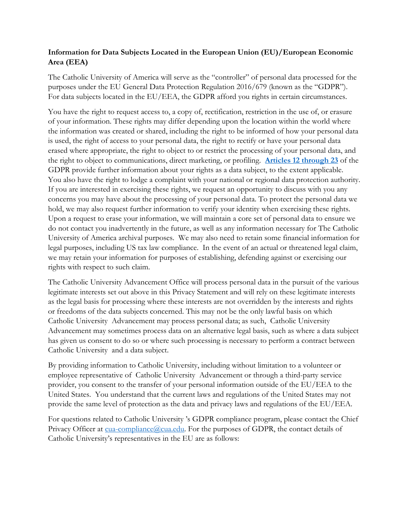# **Information for Data Subjects Located in the European Union (EU)/European Economic Area (EEA)**

The Catholic University of America will serve as the "controller" of personal data processed for the purposes under the EU General Data Protection Regulation 2016/679 (known as the "GDPR"). For data subjects located in the EU/EEA, the GDPR afford you rights in certain circumstances.

You have the right to request access to, a copy of, rectification, restriction in the use of, or erasure of your information. These rights may differ depending upon the location within the world where the information was created or shared, including the right to be informed of how your personal data is used, the right of access to your personal data, the right to rectify or have your personal data erased where appropriate, the right to object to or restrict the processing of your personal data, and the right to object to communications, direct marketing, or profiling. **[Articles 12 through 23](https://gdpr-info.eu/)** of the GDPR provide further information about your rights as a data subject, to the extent applicable. You also have the right to lodge a complaint with your national or regional data protection authority. If you are interested in exercising these rights, we request an opportunity to discuss with you any concerns you may have about the processing of your personal data. To protect the personal data we hold, we may also request further information to verify your identity when exercising these rights. Upon a request to erase your information, we will maintain a core set of personal data to ensure we do not contact you inadvertently in the future, as well as any information necessary for The Catholic University of America archival purposes. We may also need to retain some financial information for legal purposes, including US tax law compliance. In the event of an actual or threatened legal claim, we may retain your information for purposes of establishing, defending against or exercising our rights with respect to such claim.

The Catholic University Advancement Office will process personal data in the pursuit of the various legitimate interests set out above in this Privacy Statement and will rely on these legitimate interests as the legal basis for processing where these interests are not overridden by the interests and rights or freedoms of the data subjects concerned. This may not be the only lawful basis on which Catholic University Advancement may process personal data; as such, Catholic University Advancement may sometimes process data on an alternative legal basis, such as where a data subject has given us consent to do so or where such processing is necessary to perform a contract between Catholic University and a data subject.

By providing information to Catholic University, including without limitation to a volunteer or employee representative of Catholic University Advancement or through a third-party service provider, you consent to the transfer of your personal information outside of the EU/EEA to the United States. You understand that the current laws and regulations of the United States may not provide the same level of protection as the data and privacy laws and regulations of the EU/EEA.

For questions related to Catholic University 's GDPR compliance program, please contact the Chief Privacy Officer at [cua-compliance@cua.edu.](mailto:cua-compliance@cua.edu) For the purposes of GDPR, the contact details of Catholic University's representatives in the EU are as follows: